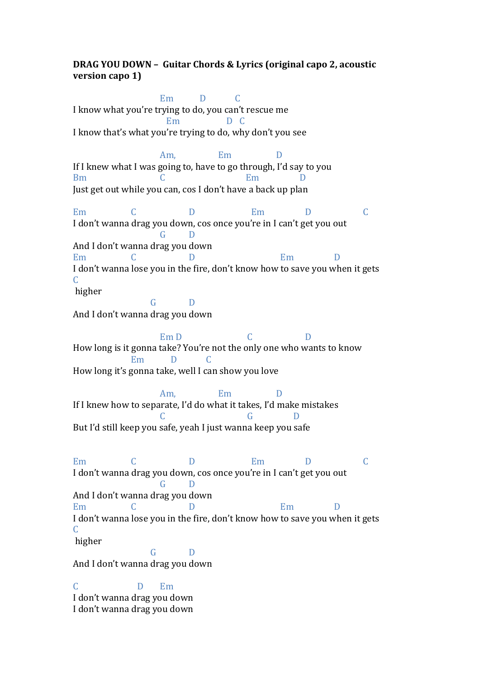## **DRAG YOU DOWN - Guitar Chords & Lyrics (original capo 2, acoustic version** capo 1)

 $Em$   $D$   $C$ I know what you're trying to do, you can't rescue me Em D C I know that's what you're trying to do, why don't you see Am, Em D If I knew what I was going to, have to go through, I'd say to you Bm C Em D Just get out while you can, cos I don't have a back up plan Em C D Em D C I don't wanna drag you down, cos once you're in I can't get you out G D And I don't wanna drag you down Em C D Em D I don't wanna lose you in the fire, don't know how to save you when it gets C higher G D And I don't wanna drag you down  $\mathbb{E}$ m D  $\qquad \qquad \mathbb{C}$  D How long is it gonna take? You're not the only one who wants to know Em D C How long it's gonna take, well I can show you love Am, Em D If I knew how to separate, I'd do what it takes, I'd make mistakes C G D But I'd still keep you safe, yeah I just wanna keep you safe Em C D Em D C I don't wanna drag you down, cos once you're in I can't get you out G D And I don't wanna drag you down Em C D Em D I don't wanna lose you in the fire, don't know how to save you when it gets C higher G D And I don't wanna drag you down C D Em I don't wanna drag you down

I don't wanna drag you down